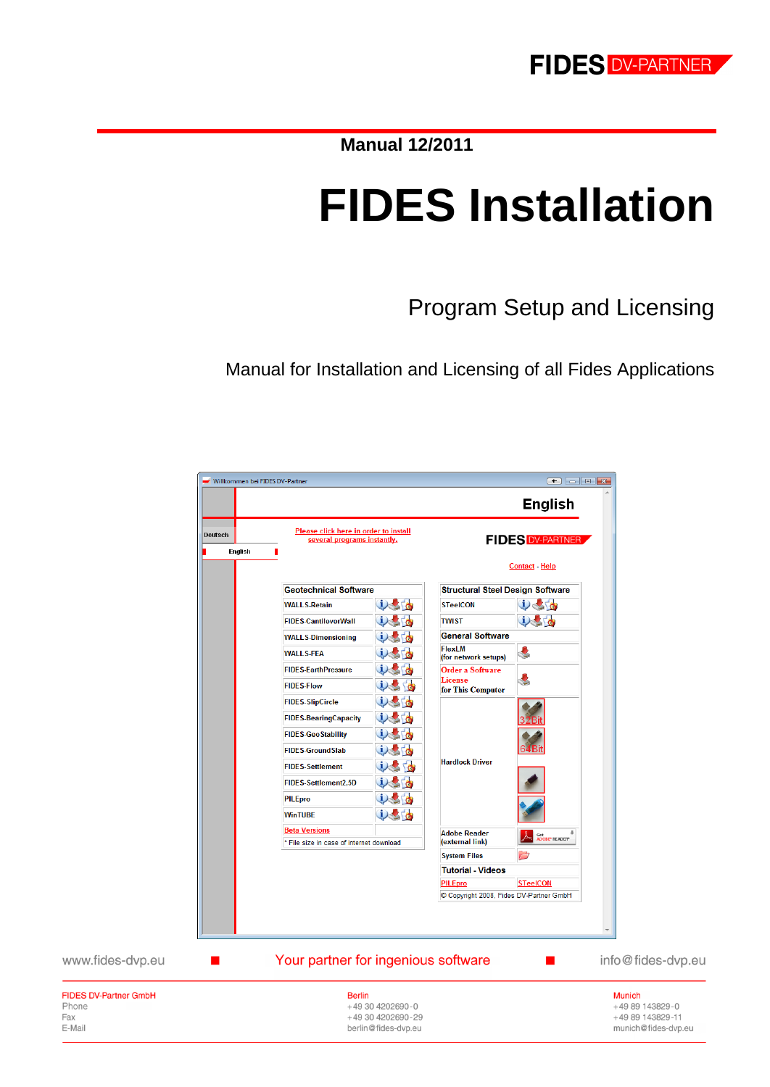**Manual 12/2011**

# **FIDES Installation**

Program Setup and Licensing

Manual for Installation and Licensing of all Fides Applications



Phone Fax

E-Mail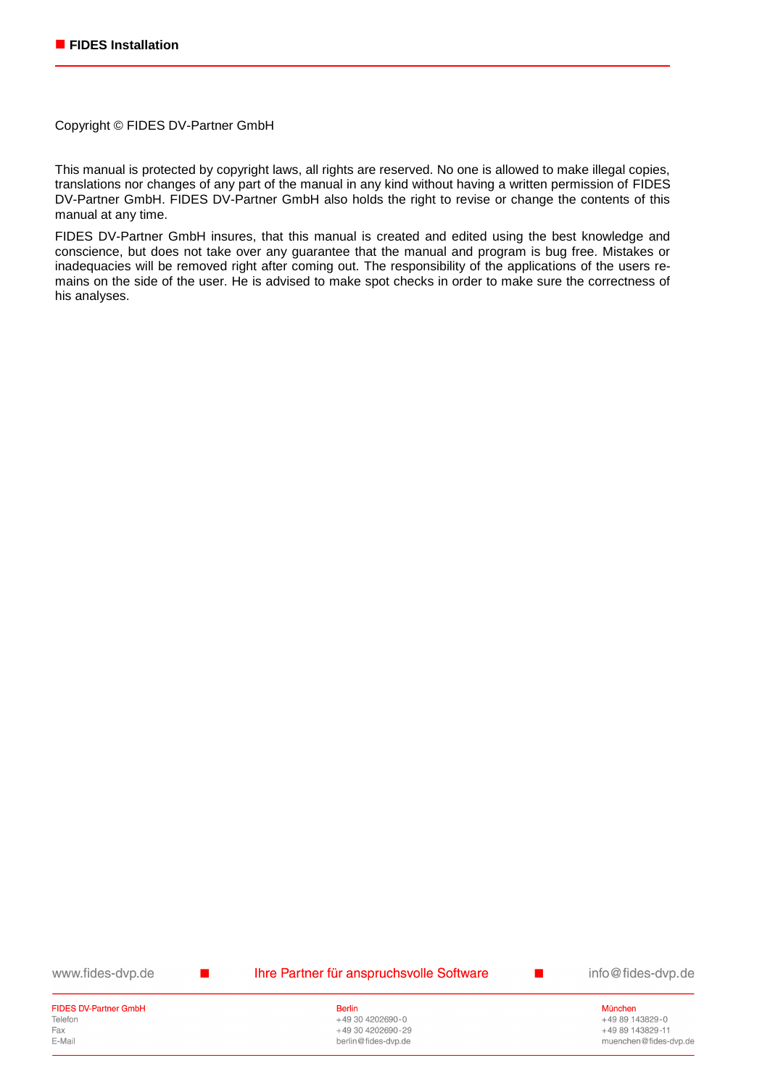Copyright © FIDES DV-Partner GmbH

This manual is protected by copyright laws, all rights are reserved. No one is allowed to make illegal copies, translations nor changes of any part of the manual in any kind without having a written permission of FIDES DV-Partner GmbH. FIDES DV-Partner GmbH also holds the right to revise or change the contents of this manual at any time.

FIDES DV-Partner GmbH insures, that this manual is created and edited using the best knowledge and conscience, but does not take over any guarantee that the manual and program is bug free. Mistakes or inadequacies will be removed right after coming out. The responsibility of the applications of the users remains on the side of the user. He is advised to make spot checks in order to make sure the correctness of his analyses.

www.fides-dvp.de

 $\blacksquare$ 

Ihre Partner für anspruchsvolle Software

info@fides-dvp.de

 $\blacksquare$ 

**FIDES DV-Partner GmbH** Telefon Fax E-Mail

**Berlin** +49 30 4202690-0 +49 30 4202690-29 berlin@fides-dvp.de

München +49 89 143829-0 +49 89 143829-11 muenchen@fides-dvp.de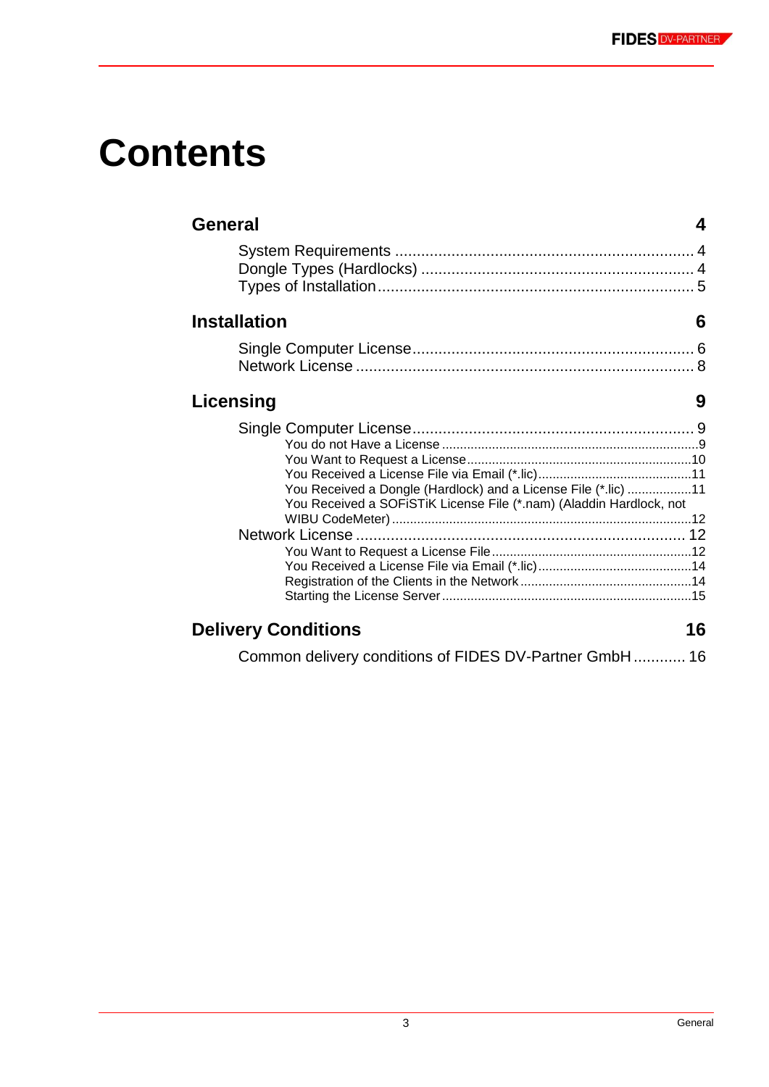# **Contents**

| General                                                                                                                               |
|---------------------------------------------------------------------------------------------------------------------------------------|
|                                                                                                                                       |
| <b>Installation</b><br>6                                                                                                              |
|                                                                                                                                       |
| Licensing<br>9                                                                                                                        |
| You Received a Dongle (Hardlock) and a License File (*.lic) 11<br>You Received a SOFISTIK License File (*.nam) (Aladdin Hardlock, not |
|                                                                                                                                       |
| <b>Delivery Conditions</b><br>16                                                                                                      |
| Common delivery conditions of FIDES DV-Partner GmbH 16                                                                                |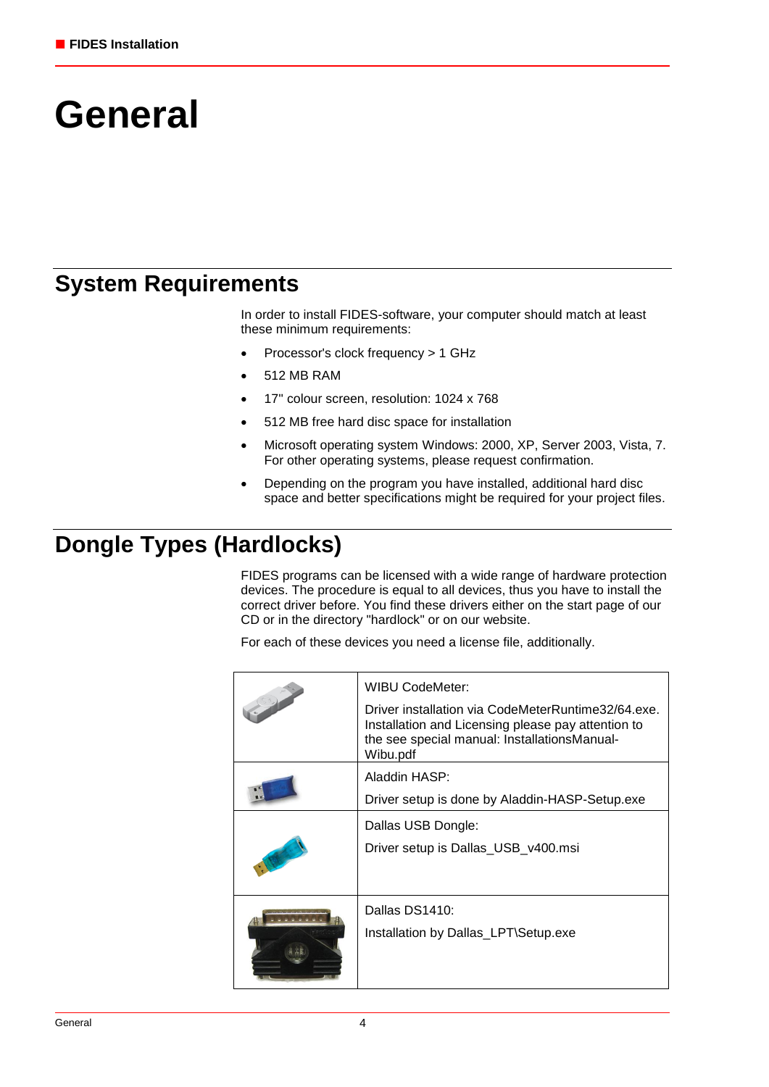# **General**

## **System Requirements**

In order to install FIDES-software, your computer should match at least these minimum requirements:

- Processor's clock frequency > 1 GHz
- 512 MB RAM
- 17" colour screen, resolution: 1024 x 768
- 512 MB free hard disc space for installation
- Microsoft operating system Windows: 2000, XP, Server 2003, Vista, 7. For other operating systems, please request confirmation.
- Depending on the program you have installed, additional hard disc space and better specifications might be required for your project files.

# **Dongle Types (Hardlocks)**

FIDES programs can be licensed with a wide range of hardware protection devices. The procedure is equal to all devices, thus you have to install the correct driver before. You find these drivers either on the start page of our CD or in the directory "hardlock" or on our website.

For each of these devices you need a license file, additionally.

| <b>WIBU CodeMeter:</b><br>Driver installation via CodeMeterRuntime32/64.exe.<br>Installation and Licensing please pay attention to<br>the see special manual: InstallationsManual-<br>Wibu.pdf |
|------------------------------------------------------------------------------------------------------------------------------------------------------------------------------------------------|
| Aladdin HASP:<br>Driver setup is done by Aladdin-HASP-Setup.exe                                                                                                                                |
| Dallas USB Dongle:<br>Driver setup is Dallas_USB_v400.msi                                                                                                                                      |
| Dallas DS1410:<br>Installation by Dallas_LPT\Setup.exe                                                                                                                                         |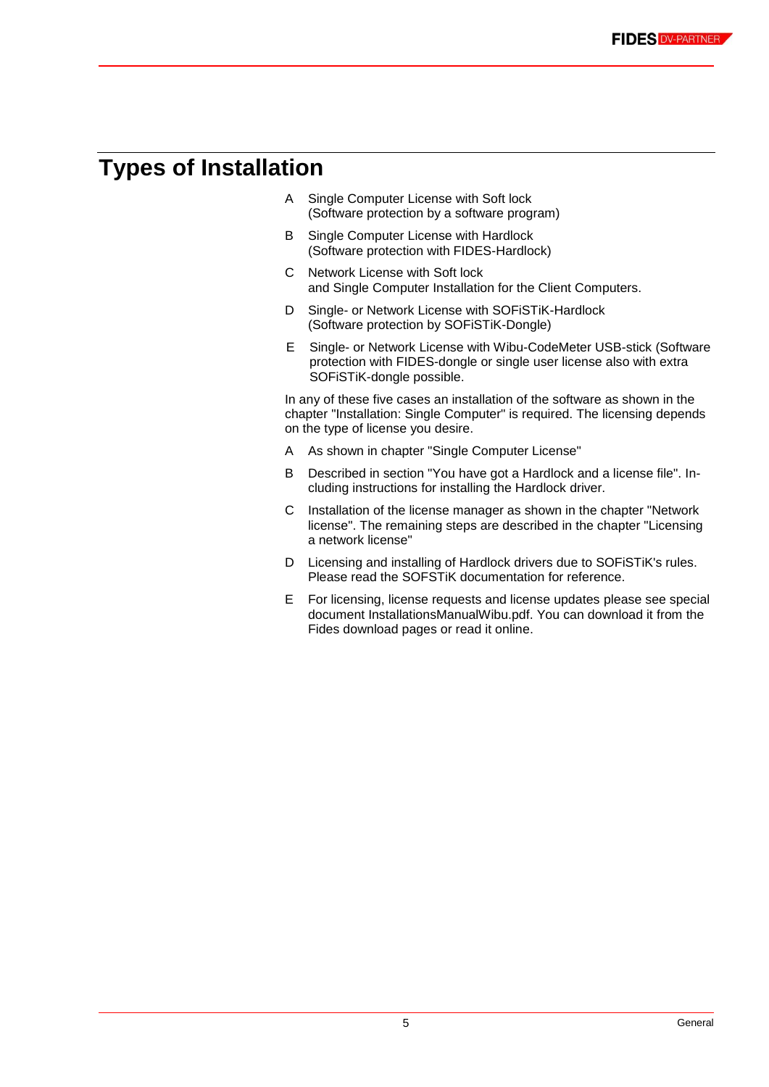# **Types of Installation**

- A Single Computer License with Soft lock (Software protection by a software program)
- B Single Computer License with Hardlock (Software protection with FIDES-Hardlock)
- C Network License with Soft lock and Single Computer Installation for the Client Computers.
- D Single- or Network License with SOFiSTiK-Hardlock (Software protection by SOFiSTiK-Dongle)
- E Single- or Network License with Wibu-CodeMeter USB-stick (Software protection with FIDES-dongle or single user license also with extra SOFiSTiK-dongle possible.

In any of these five cases an installation of the software as shown in the chapter "Installation: Single Computer" is required. The licensing depends on the type of license you desire.

- A As shown in chapter "Single Computer License"
- B Described in section "You have got a Hardlock and a license file". Including instructions for installing the Hardlock driver.
- C Installation of the license manager as shown in the chapter "Network license". The remaining steps are described in the chapter "Licensing a network license"
- D Licensing and installing of Hardlock drivers due to SOFiSTiK's rules. Please read the SOFSTiK documentation for reference.
- E For licensing, license requests and license updates please see special document InstallationsManualWibu.pdf. You can download it from the Fides download pages or read it online.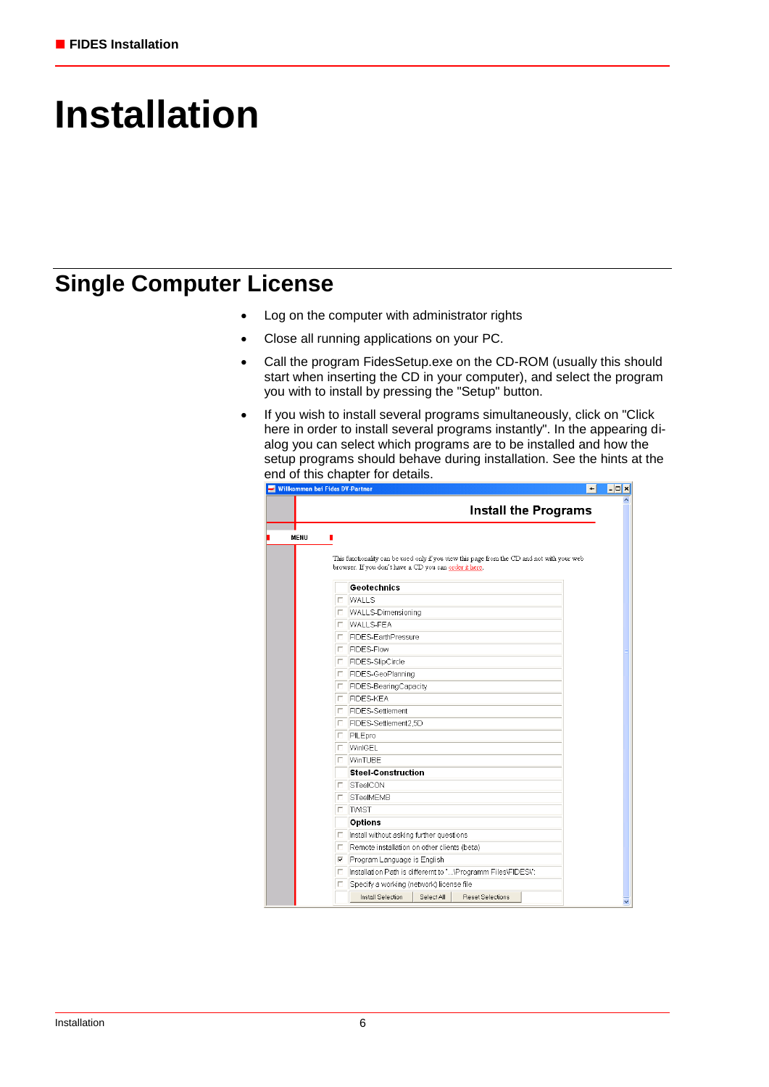# **Installation**

## **Single Computer License**

- Log on the computer with administrator rights
- Close all running applications on your PC.
- Call the program FidesSetup.exe on the CD-ROM (usually this should start when inserting the CD in your computer), and select the program you with to install by pressing the "Setup" button.
- If you wish to install several programs simultaneously, click on "Click here in order to install several programs instantly". In the appearing dialog you can select which programs are to be installed and how the setup programs should behave during installation. See the hints at the end of this chapter for details.

|      |    | <b>Install the Programs</b>                                                                                                                           |  |
|------|----|-------------------------------------------------------------------------------------------------------------------------------------------------------|--|
| MENU | п  |                                                                                                                                                       |  |
|      |    |                                                                                                                                                       |  |
|      |    | This functionality can be used only if you view this page from the CD and not with your web<br>browser. If you don't have a CD you can order it here. |  |
|      |    |                                                                                                                                                       |  |
|      |    | <b>Geotechnics</b>                                                                                                                                    |  |
|      |    | $\Box$ WALLS                                                                                                                                          |  |
|      | п. | WALLS-Dimensioning                                                                                                                                    |  |
|      |    | <b>T</b> WALLS-FEA                                                                                                                                    |  |
|      | п. | FIDES-EarthPressure                                                                                                                                   |  |
|      |    | F FIDES-Flow                                                                                                                                          |  |
|      |    | □ FIDES-SlipCircle                                                                                                                                    |  |
|      |    | □ FIDES-GeoPlanning                                                                                                                                   |  |
|      | п. | FIDES-BearingCapacity                                                                                                                                 |  |
|      |    | <b>FIDES-KEA</b>                                                                                                                                      |  |
|      | П. | FIDES-Settlement                                                                                                                                      |  |
|      |    | FIDES-Settlement2.5D                                                                                                                                  |  |
|      |    | <b>F</b> PILEpro                                                                                                                                      |  |
|      | п. | WinlGEL                                                                                                                                               |  |
|      |    | <b>IT WinTUBE</b>                                                                                                                                     |  |
|      |    | <b>Steel-Construction</b>                                                                                                                             |  |
|      | п. | STeelCON                                                                                                                                              |  |
|      | п. | <b>STeelMEMB</b>                                                                                                                                      |  |
|      |    | <b>D</b> TWIST                                                                                                                                        |  |
|      |    | <b>Options</b>                                                                                                                                        |  |
|      | п. | Install without asking further questions                                                                                                              |  |
|      | п. | Remote installation on other clients (beta)                                                                                                           |  |
|      | E. | Program Language is English                                                                                                                           |  |
|      | п. | Installation Path is different to "\Programm Files\FIDES\":                                                                                           |  |
|      | п. | Specify a working (network) license file                                                                                                              |  |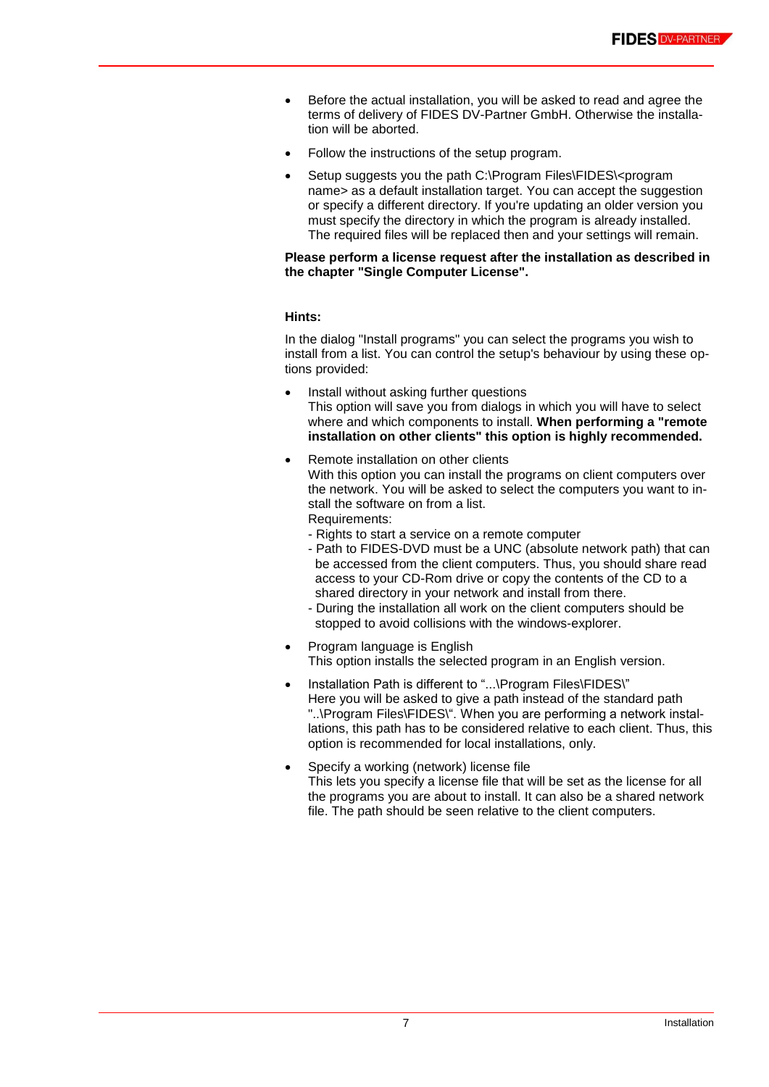- Before the actual installation, you will be asked to read and agree the terms of delivery of FIDES DV-Partner GmbH. Otherwise the installation will be aborted.
- Follow the instructions of the setup program.
- Setup suggests you the path C:\Program Files\FIDES\<program name> as a default installation target. You can accept the suggestion or specify a different directory. If you're updating an older version you must specify the directory in which the program is already installed. The required files will be replaced then and your settings will remain.

## **Please perform a license request after the installation as described in the chapter "Single Computer License".**

## **Hints:**

In the dialog "Install programs" you can select the programs you wish to install from a list. You can control the setup's behaviour by using these options provided:

- Install without asking further questions This option will save you from dialogs in which you will have to select where and which components to install. **When performing a "remote installation on other clients" this option is highly recommended.**
- Remote installation on other clients With this option you can install the programs on client computers over the network. You will be asked to select the computers you want to install the software on from a list. Requirements:
	- Rights to start a service on a remote computer
	- Path to FIDES-DVD must be a UNC (absolute network path) that can be accessed from the client computers. Thus, you should share read access to your CD-Rom drive or copy the contents of the CD to a shared directory in your network and install from there.
	- During the installation all work on the client computers should be stopped to avoid collisions with the windows-explorer.
- Program language is English This option installs the selected program in an English version.
- Installation Path is different to "...\Program Files\FIDES\" Here you will be asked to give a path instead of the standard path "..\Program Files\FIDES\". When you are performing a network installations, this path has to be considered relative to each client. Thus, this option is recommended for local installations, only.
- Specify a working (network) license file This lets you specify a license file that will be set as the license for all the programs you are about to install. It can also be a shared network file. The path should be seen relative to the client computers.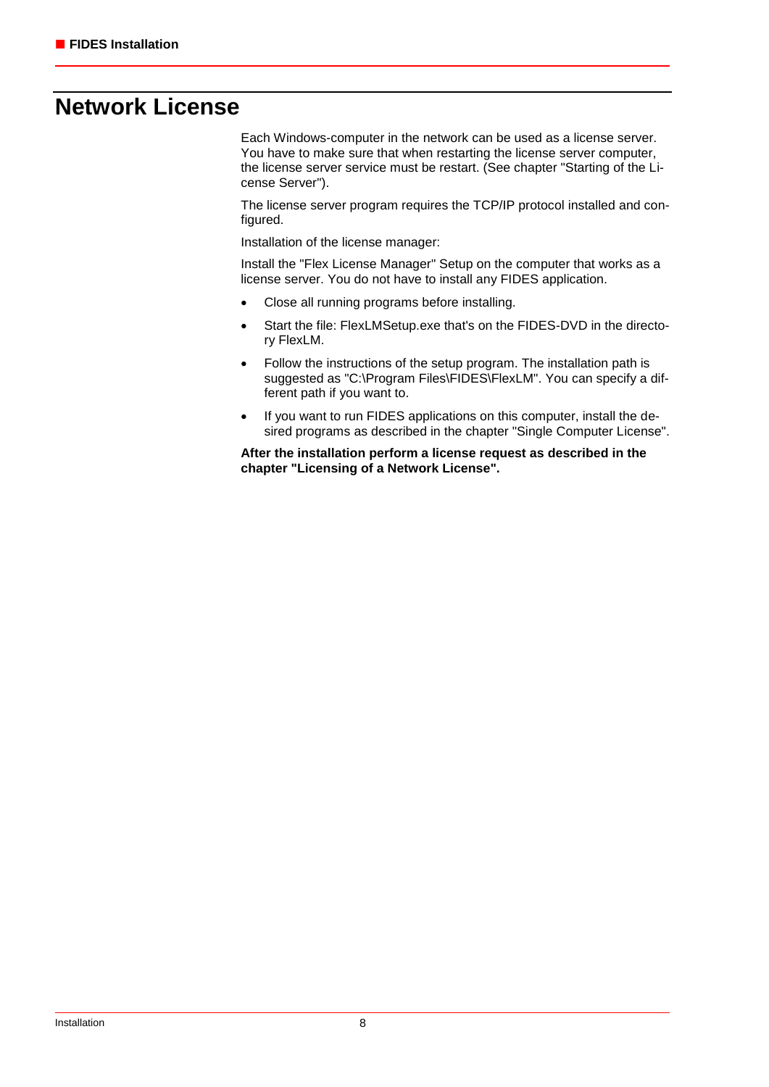## **Network License**

Each Windows-computer in the network can be used as a license server. You have to make sure that when restarting the license server computer, the license server service must be restart. (See chapter "Starting of the License Server").

The license server program requires the TCP/IP protocol installed and configured.

Installation of the license manager:

Install the "Flex License Manager" Setup on the computer that works as a license server. You do not have to install any FIDES application.

- Close all running programs before installing.
- Start the file: FlexLMSetup.exe that's on the FIDES-DVD in the directory FlexLM.
- Follow the instructions of the setup program. The installation path is suggested as "C:\Program Files\FIDES\FlexLM". You can specify a different path if you want to.
- If you want to run FIDES applications on this computer, install the desired programs as described in the chapter "Single Computer License".

**After the installation perform a license request as described in the chapter "Licensing of a Network License".**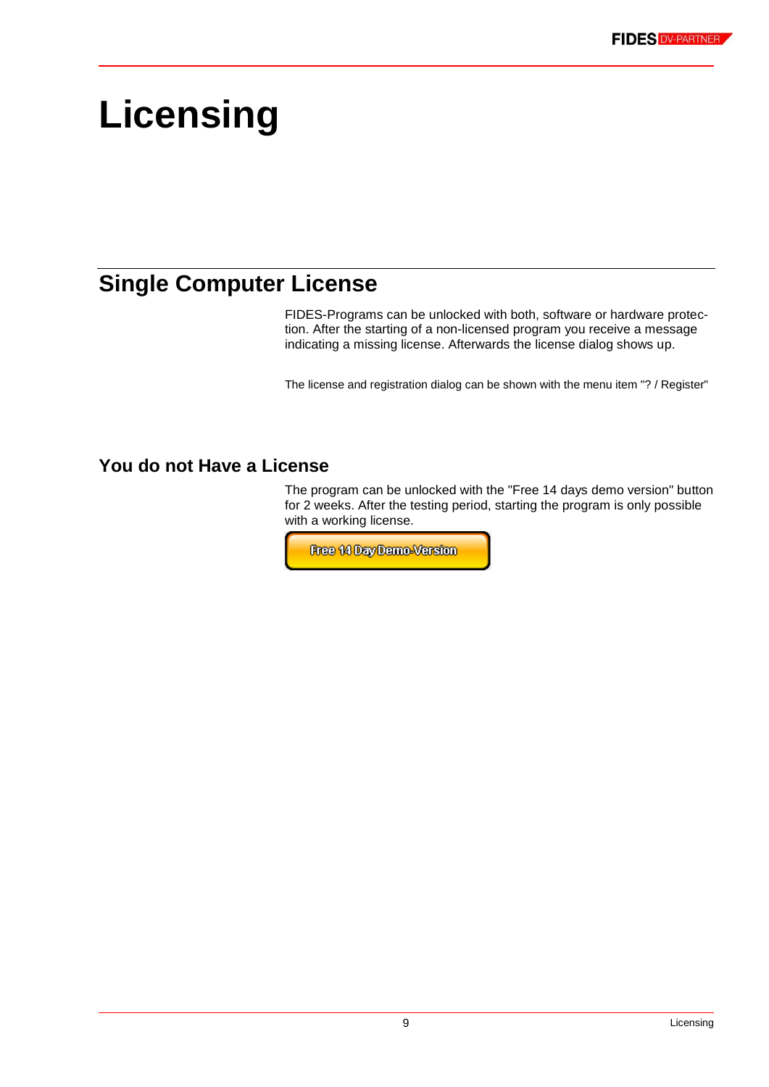# **Licensing**

# **Single Computer License**

FIDES-Programs can be unlocked with both, software or hardware protection. After the starting of a non-licensed program you receive a message indicating a missing license. Afterwards the license dialog shows up.

The license and registration dialog can be shown with the menu item "? / Register"

## **You do not Have a License**

The program can be unlocked with the "Free 14 days demo version" button for 2 weeks. After the testing period, starting the program is only possible with a working license.

Free 14 Day Demo-Version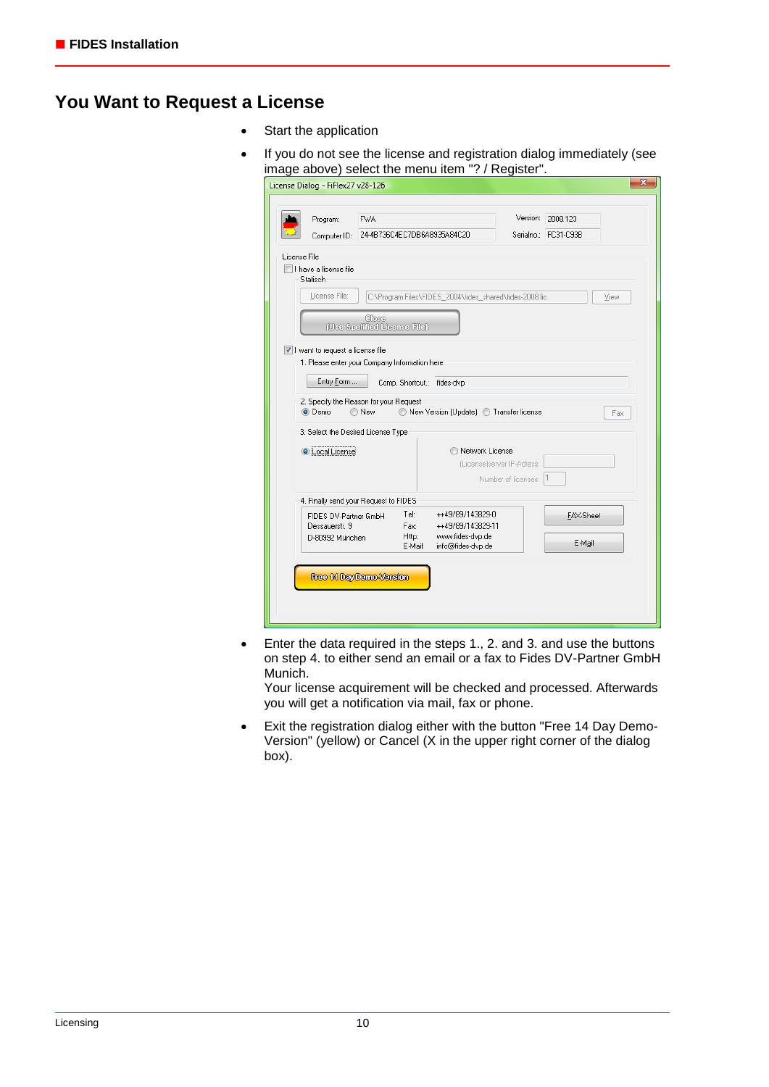## **You Want to Request a License**

- Start the application
- If you do not see the license and registration dialog immediately (see image above) select the menu item "? / Register".

|              | License Dialog - FiFlex27 v28-126                                                                                                                                                         |                                           |                                  |                                                                                |                                                   |                                  | $\mathbf{x}$ |
|--------------|-------------------------------------------------------------------------------------------------------------------------------------------------------------------------------------------|-------------------------------------------|----------------------------------|--------------------------------------------------------------------------------|---------------------------------------------------|----------------------------------|--------------|
|              | Program:<br>Computer ID:                                                                                                                                                                  | <b>FWA</b><br>24-4B736C4EC7DB6A8935A84C20 |                                  |                                                                                | Version:                                          | 2008.123<br>Serialno.: FC31-C93B |              |
| License File | I have a license file<br>Statisch                                                                                                                                                         |                                           |                                  |                                                                                |                                                   |                                  |              |
|              | License File:                                                                                                                                                                             | Chee<br>(Use Spefffed License File)       |                                  | C:\Program Files\FIDES_2004\fides_shared\fides-2008.lic                        |                                                   |                                  | View         |
|              | I want to request a license file<br>1. Please enter your Company Information here<br>Entry Form<br>2. Specify the Reason for your Request<br>O Demo<br>3. Select the Desired License Type | ◯ New                                     |                                  | Comp. Shortcut.: fides-dvp<br>New Version (Update) Transfer license            |                                                   |                                  | Fax          |
|              | <b>O</b> Local License                                                                                                                                                                    |                                           |                                  | Network License                                                                | (License)server IP-Adress:<br>Number of licenses: |                                  |              |
|              | 4. Finally send your Request to FIDES                                                                                                                                                     |                                           |                                  |                                                                                |                                                   |                                  |              |
|              | FIDES DV-Partner GmbH<br>Dessauerstr. 9<br>D-80992 München                                                                                                                                |                                           | Tel:<br>Fax:<br>Http:<br>E-Mail: | ++49/89/143829-0<br>++49/89/143829-11<br>www.fides-dvp.de<br>info@fides-dvp.de |                                                   | FAX-Sheet<br>E-Mail              |              |
|              | Free 14 Day Damo Version                                                                                                                                                                  |                                           |                                  |                                                                                |                                                   |                                  |              |

• Enter the data required in the steps 1., 2. and 3. and use the buttons on step 4. to either send an email or a fax to Fides DV-Partner GmbH Munich.

Your license acquirement will be checked and processed. Afterwards you will get a notification via mail, fax or phone.

 Exit the registration dialog either with the button "Free 14 Day Demo-Version" (yellow) or Cancel (X in the upper right corner of the dialog box).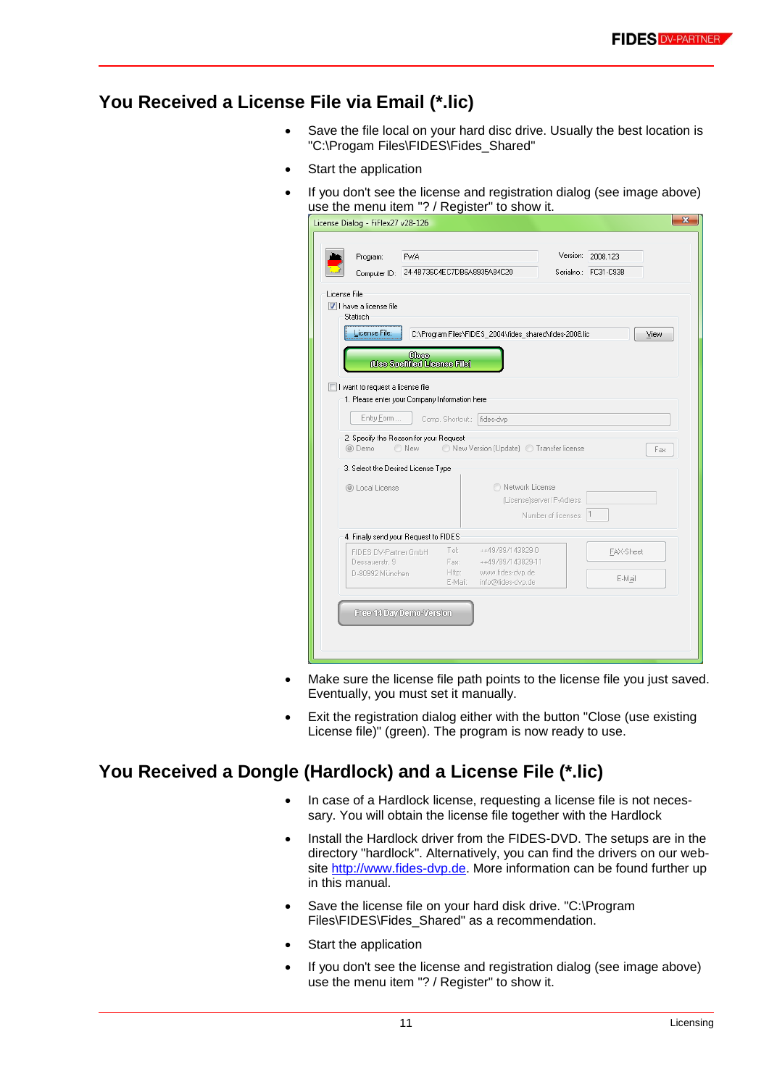## **You Received a License File via Email (\*.lic)**

- Save the file local on your hard disc drive. Usually the best location is "C:\Progam Files\FIDES\Fides\_Shared"
- Start the application
- If you don't see the license and registration dialog (see image above) use the menu item "? / Register" to show it.

| Program:<br><b>FWA</b>                        |                                       |                                                         |                            | Version: 2008.123    |
|-----------------------------------------------|---------------------------------------|---------------------------------------------------------|----------------------------|----------------------|
| Computer ID:                                  | 24-4B736C4EC7DB6A8935A84C20           |                                                         |                            | Serialno.: FC31-C93B |
| License File                                  |                                       |                                                         |                            |                      |
| I have a license file<br>Statisch             |                                       |                                                         |                            |                      |
| License File:                                 |                                       |                                                         |                            |                      |
|                                               |                                       | C:\Program Files\FIDES_2004\fides_shared\fides-2008.lic |                            | View                 |
|                                               | Chase<br>(Use Spelified License File) |                                                         |                            |                      |
|                                               |                                       |                                                         |                            |                      |
| I want to request a license file              |                                       |                                                         |                            |                      |
| 1. Please enter your Company Information here |                                       |                                                         |                            |                      |
| Entry Form                                    | Comp. Shortcut.:                      | fides-dvp                                               |                            |                      |
| 2. Specify the Reason for your Request        |                                       |                                                         |                            |                      |
| ◎ Demo<br>O New                               |                                       | New Version (Update) 1 Transfer license                 |                            | Fax                  |
| 3. Select the Desired License Type            |                                       |                                                         |                            |                      |
| © Local License                               |                                       | Network License                                         |                            |                      |
|                                               |                                       |                                                         | (License)server IP-Adress: |                      |
|                                               |                                       |                                                         | Number of licenses:        | $\vert$ 1            |
|                                               |                                       |                                                         |                            |                      |
| 4. Finally send your Request to FIDES         |                                       |                                                         |                            |                      |
| FIDES DV-Partner GmbH                         | Tel:<br>Fax:                          | ++49/89/143829-0<br>++49/89/143829-11                   |                            | FAX-Sheet            |
|                                               | Http:                                 | www.fides-dvp.de                                        |                            |                      |
| Dessauerstr. 9                                | E-Mail:                               | info@fides-dvp.de                                       |                            | E-Mail               |
| D-80992 München                               |                                       |                                                         |                            |                      |
|                                               |                                       |                                                         |                            |                      |
| Free 14 Day Demo-Version                      |                                       |                                                         |                            |                      |

- Make sure the license file path points to the license file you just saved. Eventually, you must set it manually.
- Exit the registration dialog either with the button "Close (use existing License file)" (green). The program is now ready to use.

## **You Received a Dongle (Hardlock) and a License File (\*.lic)**

- In case of a Hardlock license, requesting a license file is not necessary. You will obtain the license file together with the Hardlock
- Install the Hardlock driver from the FIDES-DVD. The setups are in the directory "hardlock". Alternatively, you can find the drivers on our website [http://www.fides-dvp.de.](http://www.fides-dvp.de/) More information can be found further up in this manual.
- Save the license file on your hard disk drive. "C:\Program Files\FIDES\Fides\_Shared" as a recommendation.
- Start the application
- If you don't see the license and registration dialog (see image above) use the menu item "? / Register" to show it.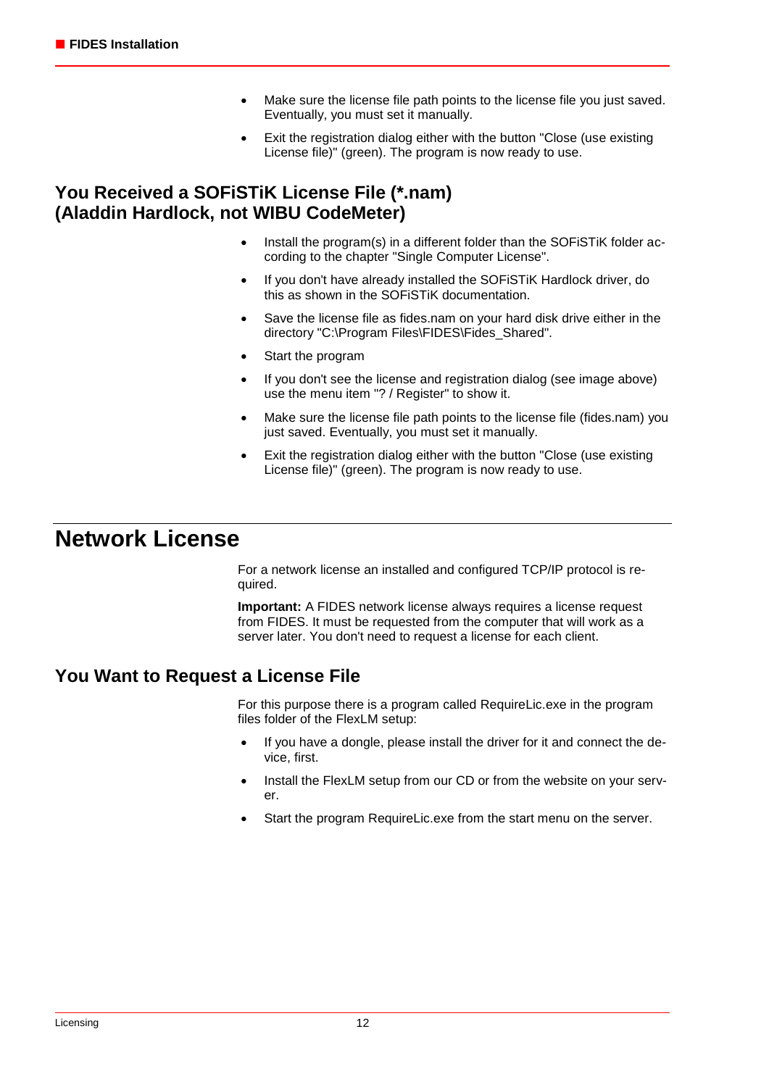- Make sure the license file path points to the license file you just saved. Eventually, you must set it manually.
- Exit the registration dialog either with the button "Close (use existing License file)" (green). The program is now ready to use.

## **You Received a SOFiSTiK License File (\*.nam) (Aladdin Hardlock, not WIBU CodeMeter)**

- Install the program(s) in a different folder than the SOFiSTiK folder according to the chapter "Single Computer License".
- If you don't have already installed the SOFISTIK Hardlock driver, do this as shown in the SOFiSTiK documentation.
- Save the license file as fides.nam on your hard disk drive either in the directory "C:\Program Files\FIDES\Fides\_Shared".
- Start the program
- If you don't see the license and registration dialog (see image above) use the menu item "? / Register" to show it.
- Make sure the license file path points to the license file (fides.nam) you just saved. Eventually, you must set it manually.
- Exit the registration dialog either with the button "Close (use existing License file)" (green). The program is now ready to use.

## **Network License**

For a network license an installed and configured TCP/IP protocol is required.

**Important:** A FIDES network license always requires a license request from FIDES. It must be requested from the computer that will work as a server later. You don't need to request a license for each client.

## **You Want to Request a License File**

For this purpose there is a program called RequireLic.exe in the program files folder of the FlexLM setup:

- If you have a dongle, please install the driver for it and connect the device, first.
- Install the FlexLM setup from our CD or from the website on your server.
- Start the program RequireLic.exe from the start menu on the server.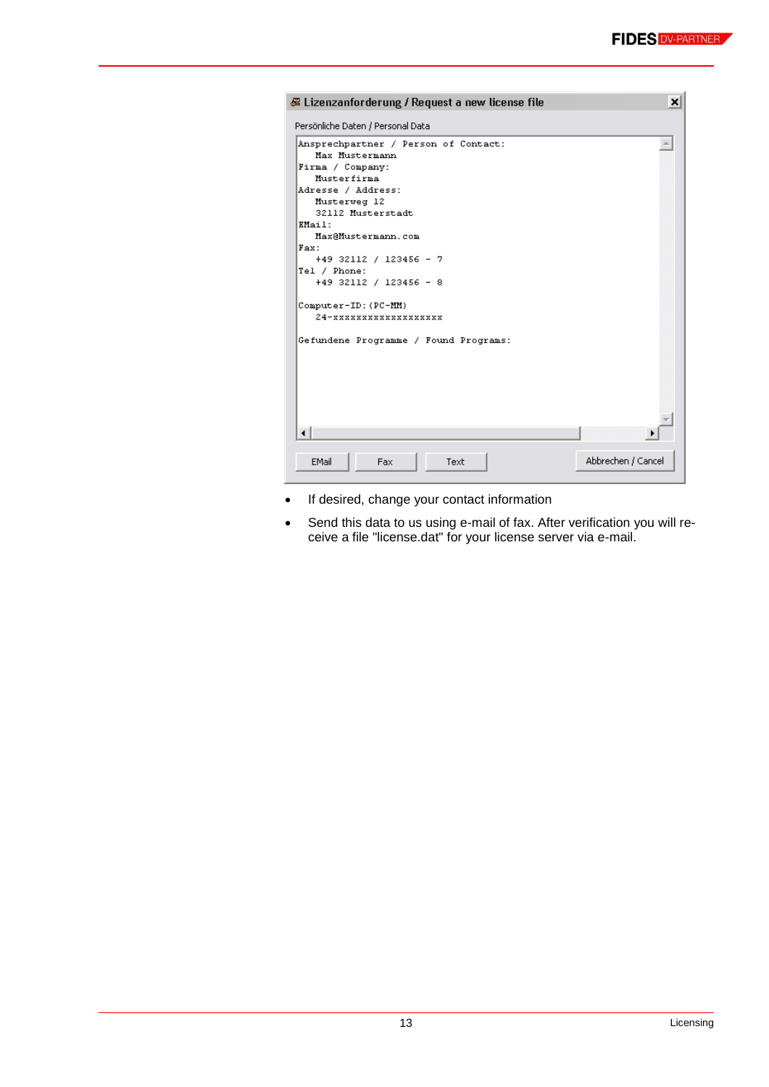| 多 Lizenzanforderung / Request a new license file       | $\boldsymbol{\mathsf{x}}$ |
|--------------------------------------------------------|---------------------------|
| Persönliche Daten / Personal Data                      |                           |
| Ansprechpartner / Person of Contact:<br>Max Mustermann |                           |
| Firma / Company:                                       |                           |
| Musterfirma                                            |                           |
| Adresse / Address:                                     |                           |
| Musterweg 12                                           |                           |
| 32112 Musterstadt<br>EMail:                            |                           |
| Max@Mustermann.com                                     |                           |
| Fax:                                                   |                           |
| +49 32112 / 123456 - 7                                 |                           |
| Tel / Phone:                                           |                           |
| +49 32112 / 123456 - 8                                 |                           |
| Computer-ID: (PC-MM)                                   |                           |
| 24-xxxxxxxxxxxxxxxxxx                                  |                           |
| Gefundene Programme / Found Programs:                  |                           |
|                                                        |                           |
|                                                        |                           |
|                                                        |                           |
|                                                        |                           |
|                                                        |                           |
|                                                        |                           |
|                                                        |                           |
|                                                        |                           |
| EMail<br>Text<br>Fax                                   | Abbrechen / Cancel        |
|                                                        |                           |

- If desired, change your contact information
- Send this data to us using e-mail of fax. After verification you will receive a file "license.dat" for your license server via e-mail.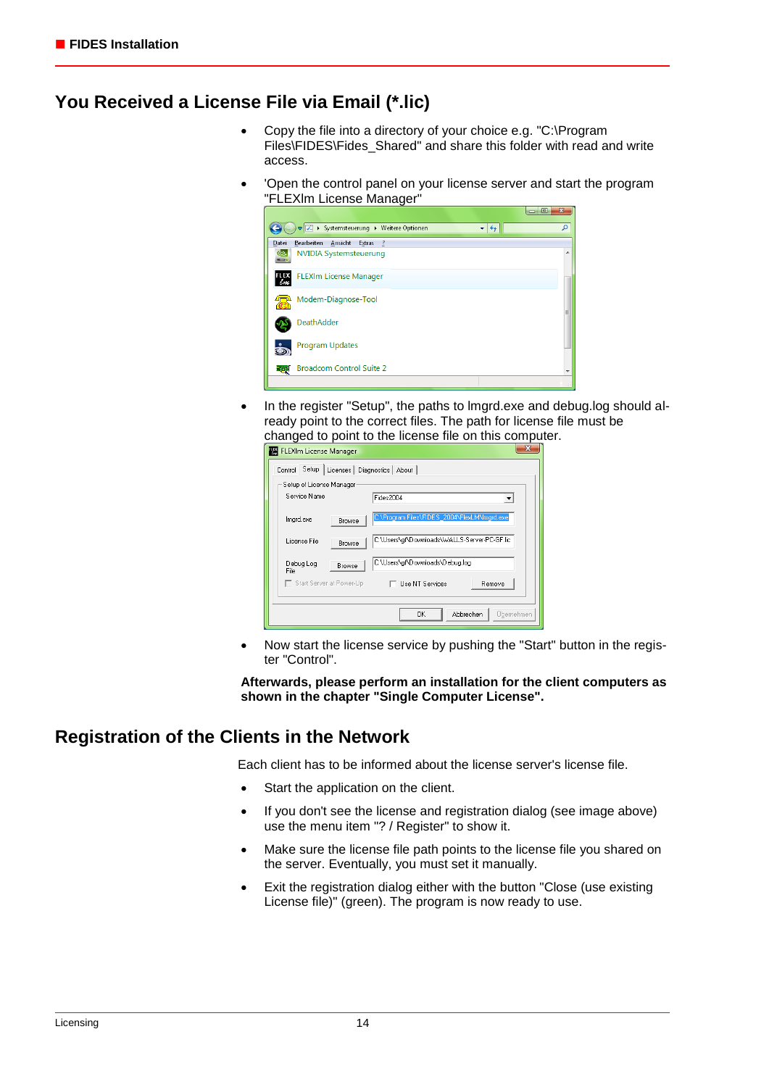## **You Received a License File via Email (\*.lic)**

- Copy the file into a directory of your choice e.g. "C:\Program Files\FIDES\Fides\_Shared" and share this folder with read and write access.
- 'Open the control panel on your license server and start the program "FLEXlm License Manager"



• In the register "Setup", the paths to Imgrd.exe and debug.log should already point to the correct files. The path for license file must be changed to point to the license file on this computer.

| FLEXIm License Manager                                                 |  |  |  |  |  |
|------------------------------------------------------------------------|--|--|--|--|--|
| Control Setup   Licenses   Diagnostics   About                         |  |  |  |  |  |
| Setup of License Manager                                               |  |  |  |  |  |
| Service Name<br>Fides2004                                              |  |  |  |  |  |
| C:\Program Files\FIDES_2004\FlexLM\Imgrd.exe<br>Imgrd.exe<br>Browse    |  |  |  |  |  |
| C:\Users\qf\Downloads\WALLS-Server-PC-GF.lic<br>License File<br>Browse |  |  |  |  |  |
| C:\Users\gf\Downloads\Debug.log<br>Debug Log<br>Browse<br>File:        |  |  |  |  |  |
| Start Server at Power-Up<br>□ Use NT Services<br>Remove                |  |  |  |  |  |
|                                                                        |  |  |  |  |  |
| 0K<br>Abbrechen<br>Übernehmen                                          |  |  |  |  |  |

• Now start the license service by pushing the "Start" button in the register "Control".

**Afterwards, please perform an installation for the client computers as shown in the chapter "Single Computer License".**

## **Registration of the Clients in the Network**

Each client has to be informed about the license server's license file.

- Start the application on the client.
- If you don't see the license and registration dialog (see image above) use the menu item "? / Register" to show it.
- Make sure the license file path points to the license file you shared on the server. Eventually, you must set it manually.
- Exit the registration dialog either with the button "Close (use existing License file)" (green). The program is now ready to use.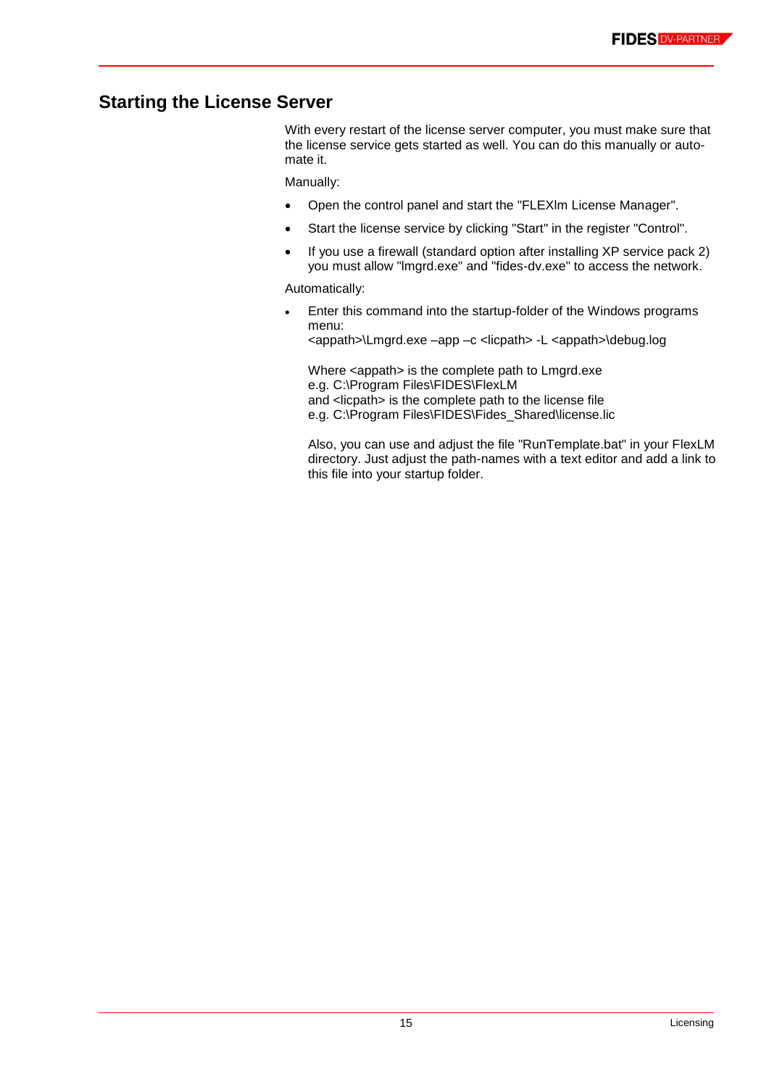## **Starting the License Server**

With every restart of the license server computer, you must make sure that the license service gets started as well. You can do this manually or automate it.

Manually:

- Open the control panel and start the "FLEXlm License Manager".
- Start the license service by clicking "Start" in the register "Control".
- If you use a firewall (standard option after installing XP service pack 2) you must allow "lmgrd.exe" and "fides-dv.exe" to access the network.

Automatically:

 Enter this command into the startup-folder of the Windows programs menu: <appath>\Lmgrd.exe –app –c <licpath> -L <appath>\debug.log

Where <appath> is the complete path to Lmgrd.exe e.g. C:\Program Files\FIDES\FlexLM and <licpath> is the complete path to the license file e.g. C:\Program Files\FIDES\Fides\_Shared\license.lic

Also, you can use and adjust the file "RunTemplate.bat" in your FlexLM directory. Just adjust the path-names with a text editor and add a link to this file into your startup folder.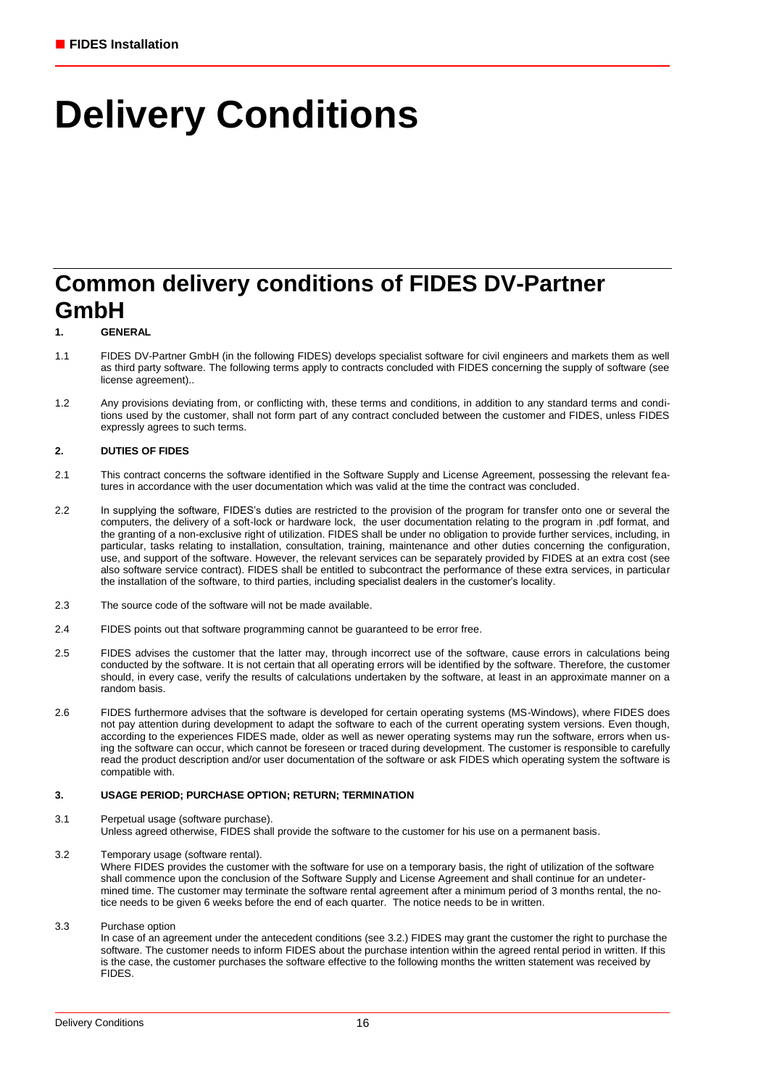# **Delivery Conditions**

## **Common delivery conditions of FIDES DV-Partner GmbH**

### **1. GENERAL**

- 1.1 FIDES DV-Partner GmbH (in the following FIDES) develops specialist software for civil engineers and markets them as well as third party software. The following terms apply to contracts concluded with FIDES concerning the supply of software (see license agreement)..
- 1.2 Any provisions deviating from, or conflicting with, these terms and conditions, in addition to any standard terms and conditions used by the customer, shall not form part of any contract concluded between the customer and FIDES, unless FIDES expressly agrees to such terms.

### **2. DUTIES OF FIDES**

- 2.1 This contract concerns the software identified in the Software Supply and License Agreement, possessing the relevant features in accordance with the user documentation which was valid at the time the contract was concluded.
- 2.2 In supplying the software, FIDES's duties are restricted to the provision of the program for transfer onto one or several the computers, the delivery of a soft-lock or hardware lock, the user documentation relating to the program in .pdf format, and the granting of a non-exclusive right of utilization. FIDES shall be under no obligation to provide further services, including, in particular, tasks relating to installation, consultation, training, maintenance and other duties concerning the configuration, use, and support of the software. However, the relevant services can be separately provided by FIDES at an extra cost (see also software service contract). FIDES shall be entitled to subcontract the performance of these extra services, in particular the installation of the software, to third parties, including specialist dealers in the customer's locality.
- 2.3 The source code of the software will not be made available.
- 2.4 FIDES points out that software programming cannot be guaranteed to be error free.
- 2.5 FIDES advises the customer that the latter may, through incorrect use of the software, cause errors in calculations being conducted by the software. It is not certain that all operating errors will be identified by the software. Therefore, the customer should, in every case, verify the results of calculations undertaken by the software, at least in an approximate manner on a random basis.
- 2.6 FIDES furthermore advises that the software is developed for certain operating systems (MS-Windows), where FIDES does not pay attention during development to adapt the software to each of the current operating system versions. Even though, according to the experiences FIDES made, older as well as newer operating systems may run the software, errors when using the software can occur, which cannot be foreseen or traced during development. The customer is responsible to carefully read the product description and/or user documentation of the software or ask FIDES which operating system the software is compatible with.

### **3. USAGE PERIOD; PURCHASE OPTION; RETURN; TERMINATION**

- 3.1 Perpetual usage (software purchase). Unless agreed otherwise, FIDES shall provide the software to the customer for his use on a permanent basis.
- 3.2 Temporary usage (software rental). Where FIDES provides the customer with the software for use on a temporary basis, the right of utilization of the software shall commence upon the conclusion of the Software Supply and License Agreement and shall continue for an undetermined time. The customer may terminate the software rental agreement after a minimum period of 3 months rental, the notice needs to be given 6 weeks before the end of each quarter. The notice needs to be in written.
- 3.3 Purchase option

In case of an agreement under the antecedent conditions (see 3.2.) FIDES may grant the customer the right to purchase the software. The customer needs to inform FIDES about the purchase intention within the agreed rental period in written. If this is the case, the customer purchases the software effective to the following months the written statement was received by **FIDES**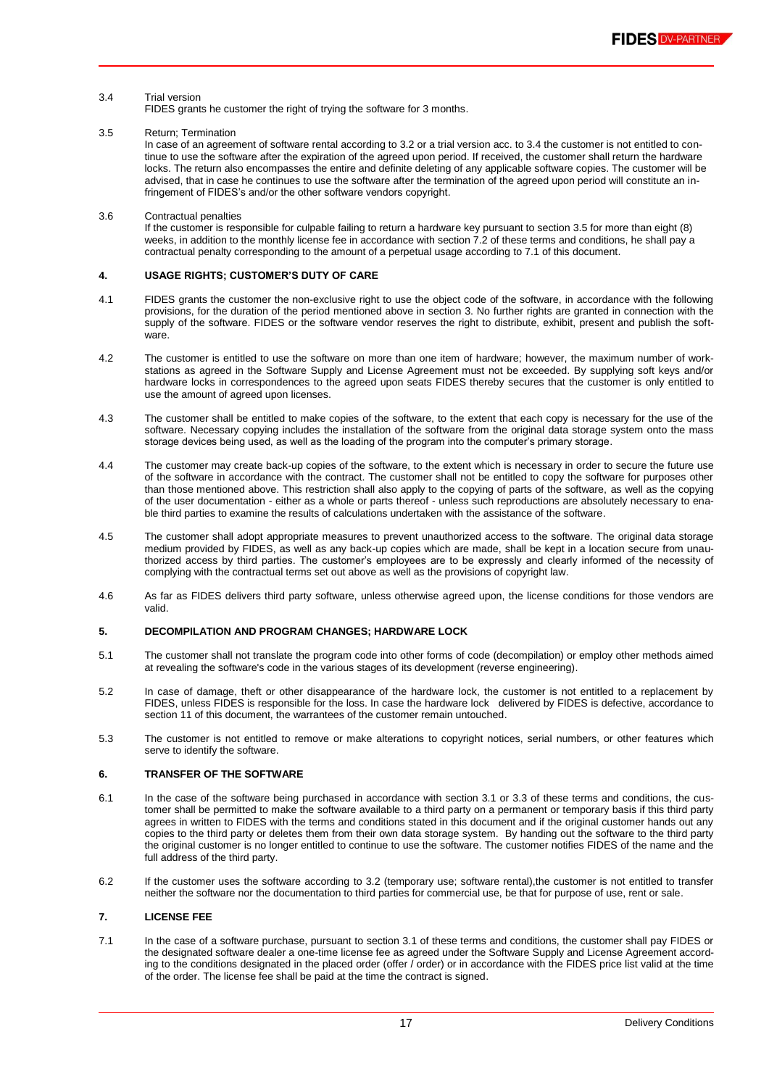#### 3.4 Trial version

FIDES grants he customer the right of trying the software for 3 months.

3.5 Return; Termination

In case of an agreement of software rental according to 3.2 or a trial version acc. to 3.4 the customer is not entitled to continue to use the software after the expiration of the agreed upon period. If received, the customer shall return the hardware locks. The return also encompasses the entire and definite deleting of any applicable software copies. The customer will be advised, that in case he continues to use the software after the termination of the agreed upon period will constitute an infringement of FIDES's and/or the other software vendors copyright.

### 3.6 Contractual penalties

If the customer is responsible for culpable failing to return a hardware key pursuant to section 3.5 for more than eight (8) weeks, in addition to the monthly license fee in accordance with section 7.2 of these terms and conditions, he shall pay a contractual penalty corresponding to the amount of a perpetual usage according to 7.1 of this document.

### **4. USAGE RIGHTS; CUSTOMER'S DUTY OF CARE**

- 4.1 FIDES grants the customer the non-exclusive right to use the object code of the software, in accordance with the following provisions, for the duration of the period mentioned above in section 3. No further rights are granted in connection with the supply of the software. FIDES or the software vendor reserves the right to distribute, exhibit, present and publish the software.
- 4.2 The customer is entitled to use the software on more than one item of hardware; however, the maximum number of workstations as agreed in the Software Supply and License Agreement must not be exceeded. By supplying soft keys and/or hardware locks in correspondences to the agreed upon seats FIDES thereby secures that the customer is only entitled to use the amount of agreed upon licenses.
- 4.3 The customer shall be entitled to make copies of the software, to the extent that each copy is necessary for the use of the software. Necessary copying includes the installation of the software from the original data storage system onto the mass storage devices being used, as well as the loading of the program into the computer's primary storage.
- 4.4 The customer may create back-up copies of the software, to the extent which is necessary in order to secure the future use of the software in accordance with the contract. The customer shall not be entitled to copy the software for purposes other than those mentioned above. This restriction shall also apply to the copying of parts of the software, as well as the copying of the user documentation - either as a whole or parts thereof - unless such reproductions are absolutely necessary to enable third parties to examine the results of calculations undertaken with the assistance of the software.
- 4.5 The customer shall adopt appropriate measures to prevent unauthorized access to the software. The original data storage medium provided by FIDES, as well as any back-up copies which are made, shall be kept in a location secure from unauthorized access by third parties. The customer's employees are to be expressly and clearly informed of the necessity of complying with the contractual terms set out above as well as the provisions of copyright law.
- 4.6 As far as FIDES delivers third party software, unless otherwise agreed upon, the license conditions for those vendors are valid.

### **5. DECOMPILATION AND PROGRAM CHANGES; HARDWARE LOCK**

- 5.1 The customer shall not translate the program code into other forms of code (decompilation) or employ other methods aimed at revealing the software's code in the various stages of its development (reverse engineering).
- 5.2 In case of damage, theft or other disappearance of the hardware lock, the customer is not entitled to a replacement by FIDES, unless FIDES is responsible for the loss. In case the hardware lock delivered by FIDES is defective, accordance to section 11 of this document, the warrantees of the customer remain untouched.
- 5.3 The customer is not entitled to remove or make alterations to copyright notices, serial numbers, or other features which serve to identify the software.

### **6. TRANSFER OF THE SOFTWARE**

- 6.1 In the case of the software being purchased in accordance with section 3.1 or 3.3 of these terms and conditions, the customer shall be permitted to make the software available to a third party on a permanent or temporary basis if this third party agrees in written to FIDES with the terms and conditions stated in this document and if the original customer hands out any copies to the third party or deletes them from their own data storage system. By handing out the software to the third party the original customer is no longer entitled to continue to use the software. The customer notifies FIDES of the name and the full address of the third party.
- 6.2 If the customer uses the software according to 3.2 (temporary use; software rental),the customer is not entitled to transfer neither the software nor the documentation to third parties for commercial use, be that for purpose of use, rent or sale.

### **7. LICENSE FEE**

7.1 In the case of a software purchase, pursuant to section 3.1 of these terms and conditions, the customer shall pay FIDES or the designated software dealer a one-time license fee as agreed under the Software Supply and License Agreement according to the conditions designated in the placed order (offer / order) or in accordance with the FIDES price list valid at the time of the order. The license fee shall be paid at the time the contract is signed.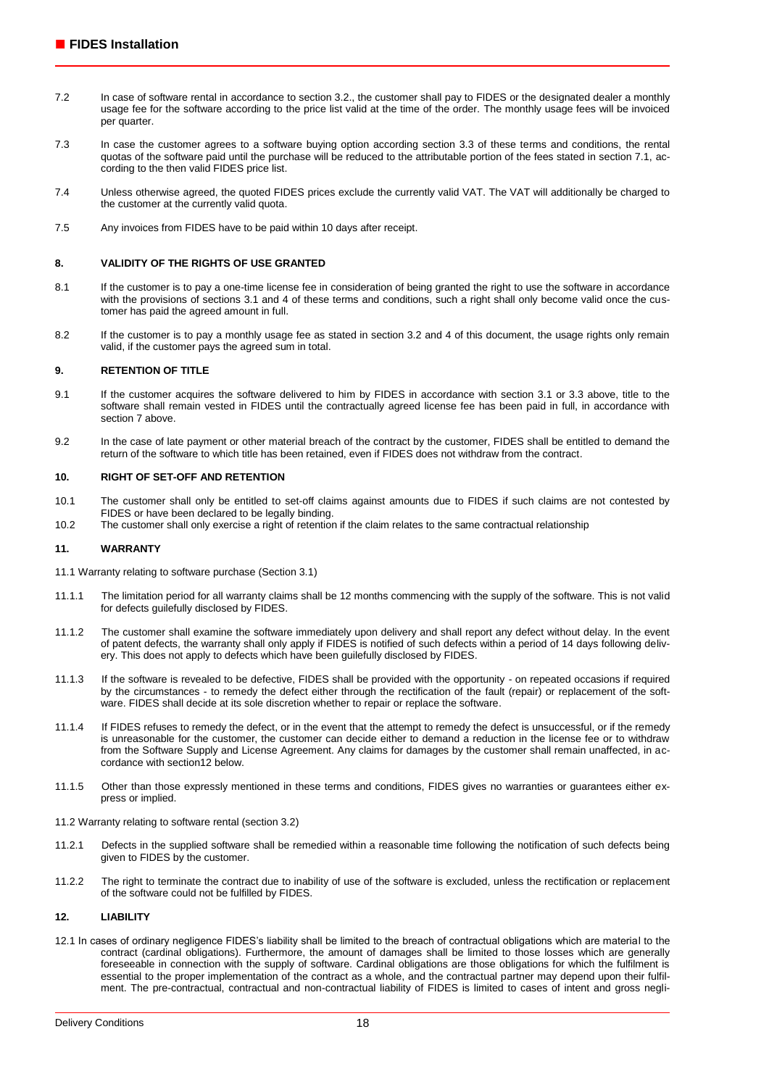- 7.2 In case of software rental in accordance to section 3.2., the customer shall pay to FIDES or the designated dealer a monthly usage fee for the software according to the price list valid at the time of the order. The monthly usage fees will be invoiced per quarter.
- 7.3 In case the customer agrees to a software buying option according section 3.3 of these terms and conditions, the rental quotas of the software paid until the purchase will be reduced to the attributable portion of the fees stated in section 7.1, according to the then valid FIDES price list.
- 7.4 Unless otherwise agreed, the quoted FIDES prices exclude the currently valid VAT. The VAT will additionally be charged to the customer at the currently valid quota.
- 7.5 Any invoices from FIDES have to be paid within 10 days after receipt.

#### **8. VALIDITY OF THE RIGHTS OF USE GRANTED**

- 8.1 If the customer is to pay a one-time license fee in consideration of being granted the right to use the software in accordance with the provisions of sections 3.1 and 4 of these terms and conditions, such a right shall only become valid once the customer has paid the agreed amount in full.
- 8.2 If the customer is to pay a monthly usage fee as stated in section 3.2 and 4 of this document, the usage rights only remain valid, if the customer pays the agreed sum in total.

#### **9. RETENTION OF TITLE**

- 9.1 If the customer acquires the software delivered to him by FIDES in accordance with section 3.1 or 3.3 above, title to the software shall remain vested in FIDES until the contractually agreed license fee has been paid in full, in accordance with section 7 above.
- 9.2 In the case of late payment or other material breach of the contract by the customer, FIDES shall be entitled to demand the return of the software to which title has been retained, even if FIDES does not withdraw from the contract.

#### **10. RIGHT OF SET-OFF AND RETENTION**

- 10.1 The customer shall only be entitled to set-off claims against amounts due to FIDES if such claims are not contested by FIDES or have been declared to be legally binding.
- 10.2 The customer shall only exercise a right of retention if the claim relates to the same contractual relationship

#### **11. WARRANTY**

- 11.1 Warranty relating to software purchase (Section 3.1)
- 11.1.1 The limitation period for all warranty claims shall be 12 months commencing with the supply of the software. This is not valid for defects guilefully disclosed by FIDES.
- 11.1.2 The customer shall examine the software immediately upon delivery and shall report any defect without delay. In the event of patent defects, the warranty shall only apply if FIDES is notified of such defects within a period of 14 days following delivery. This does not apply to defects which have been guilefully disclosed by FIDES.
- 11.1.3 If the software is revealed to be defective, FIDES shall be provided with the opportunity on repeated occasions if required by the circumstances - to remedy the defect either through the rectification of the fault (repair) or replacement of the software. FIDES shall decide at its sole discretion whether to repair or replace the software.
- 11.1.4 If FIDES refuses to remedy the defect, or in the event that the attempt to remedy the defect is unsuccessful, or if the remedy is unreasonable for the customer, the customer can decide either to demand a reduction in the license fee or to withdraw from the Software Supply and License Agreement. Any claims for damages by the customer shall remain unaffected, in accordance with section12 below.
- 11.1.5 Other than those expressly mentioned in these terms and conditions, FIDES gives no warranties or guarantees either express or implied.
- 11.2 Warranty relating to software rental (section 3.2)
- 11.2.1 Defects in the supplied software shall be remedied within a reasonable time following the notification of such defects being given to FIDES by the customer.
- 11.2.2 The right to terminate the contract due to inability of use of the software is excluded, unless the rectification or replacement of the software could not be fulfilled by FIDES.

#### **12. LIABILITY**

12.1 In cases of ordinary negligence FIDES's liability shall be limited to the breach of contractual obligations which are material to the contract (cardinal obligations). Furthermore, the amount of damages shall be limited to those losses which are generally foreseeable in connection with the supply of software. Cardinal obligations are those obligations for which the fulfilment is essential to the proper implementation of the contract as a whole, and the contractual partner may depend upon their fulfilment. The pre-contractual, contractual and non-contractual liability of FIDES is limited to cases of intent and gross negli